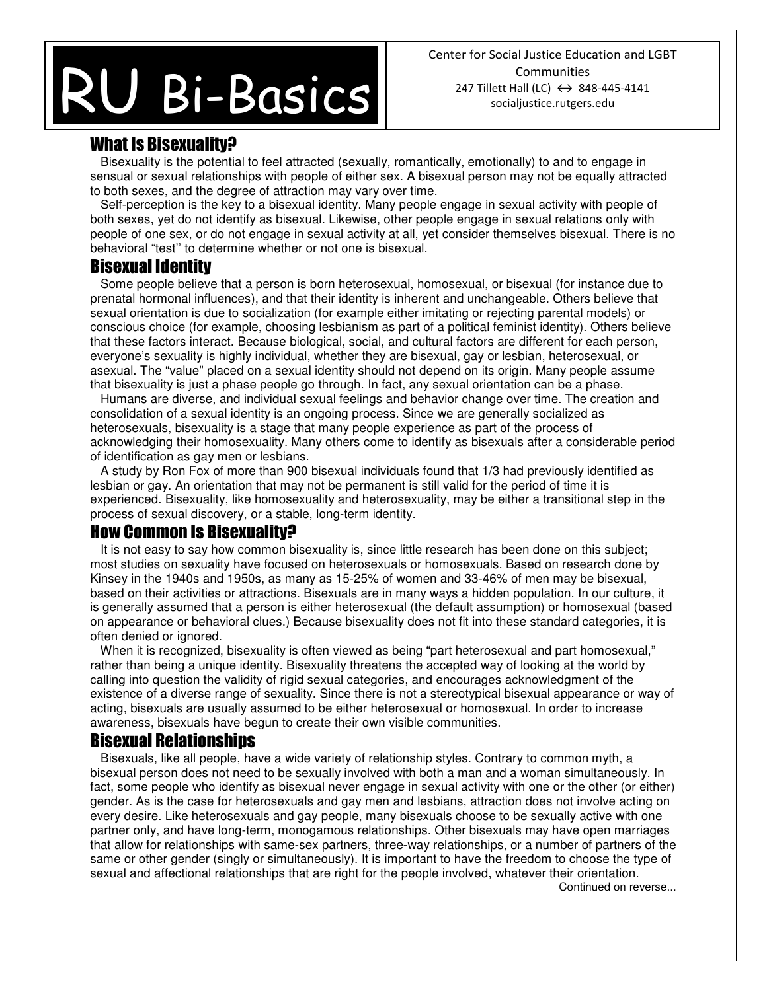# **BI-BUSICS** RU Bi-Basics

Center for Social Justice Education and LGBT **Communities** 247 Tillett Hall (LC)  $\leftrightarrow$  848-445-4141 socialjustice.rutgers.edu

## What Is Bisexuality?

 Bisexuality is the potential to feel attracted (sexually, romantically, emotionally) to and to engage in sensual or sexual relationships with people of either sex. A bisexual person may not be equally attracted to both sexes, and the degree of attraction may vary over time.

 Self-perception is the key to a bisexual identity. Many people engage in sexual activity with people of both sexes, yet do not identify as bisexual. Likewise, other people engage in sexual relations only with people of one sex, or do not engage in sexual activity at all, yet consider themselves bisexual. There is no behavioral "test'' to determine whether or not one is bisexual.

#### Bisexual Identity

 Some people believe that a person is born heterosexual, homosexual, or bisexual (for instance due to prenatal hormonal influences), and that their identity is inherent and unchangeable. Others believe that sexual orientation is due to socialization (for example either imitating or rejecting parental models) or conscious choice (for example, choosing lesbianism as part of a political feminist identity). Others believe that these factors interact. Because biological, social, and cultural factors are different for each person, everyone's sexuality is highly individual, whether they are bisexual, gay or lesbian, heterosexual, or asexual. The "value" placed on a sexual identity should not depend on its origin. Many people assume that bisexuality is just a phase people go through. In fact, any sexual orientation can be a phase.

 Humans are diverse, and individual sexual feelings and behavior change over time. The creation and consolidation of a sexual identity is an ongoing process. Since we are generally socialized as heterosexuals, bisexuality is a stage that many people experience as part of the process of acknowledging their homosexuality. Many others come to identify as bisexuals after a considerable period of identification as gay men or lesbians.

 A study by Ron Fox of more than 900 bisexual individuals found that 1/3 had previously identified as lesbian or gay. An orientation that may not be permanent is still valid for the period of time it is experienced. Bisexuality, like homosexuality and heterosexuality, may be either a transitional step in the process of sexual discovery, or a stable, long-term identity.

#### How Common Is Bisexuality?

It is not easy to say how common bisexuality is, since little research has been done on this subject; most studies on sexuality have focused on heterosexuals or homosexuals. Based on research done by Kinsey in the 1940s and 1950s, as many as 15-25% of women and 33-46% of men may be bisexual, based on their activities or attractions. Bisexuals are in many ways a hidden population. In our culture, it is generally assumed that a person is either heterosexual (the default assumption) or homosexual (based on appearance or behavioral clues.) Because bisexuality does not fit into these standard categories, it is often denied or ignored.

When it is recognized, bisexuality is often viewed as being "part heterosexual and part homosexual," rather than being a unique identity. Bisexuality threatens the accepted way of looking at the world by calling into question the validity of rigid sexual categories, and encourages acknowledgment of the existence of a diverse range of sexuality. Since there is not a stereotypical bisexual appearance or way of acting, bisexuals are usually assumed to be either heterosexual or homosexual. In order to increase awareness, bisexuals have begun to create their own visible communities.

#### Bisexual Relationships

 Bisexuals, like all people, have a wide variety of relationship styles. Contrary to common myth, a bisexual person does not need to be sexually involved with both a man and a woman simultaneously. In fact, some people who identify as bisexual never engage in sexual activity with one or the other (or either) gender. As is the case for heterosexuals and gay men and lesbians, attraction does not involve acting on every desire. Like heterosexuals and gay people, many bisexuals choose to be sexually active with one partner only, and have long-term, monogamous relationships. Other bisexuals may have open marriages that allow for relationships with same-sex partners, three-way relationships, or a number of partners of the same or other gender (singly or simultaneously). It is important to have the freedom to choose the type of sexual and affectional relationships that are right for the people involved, whatever their orientation.

Continued on reverse...